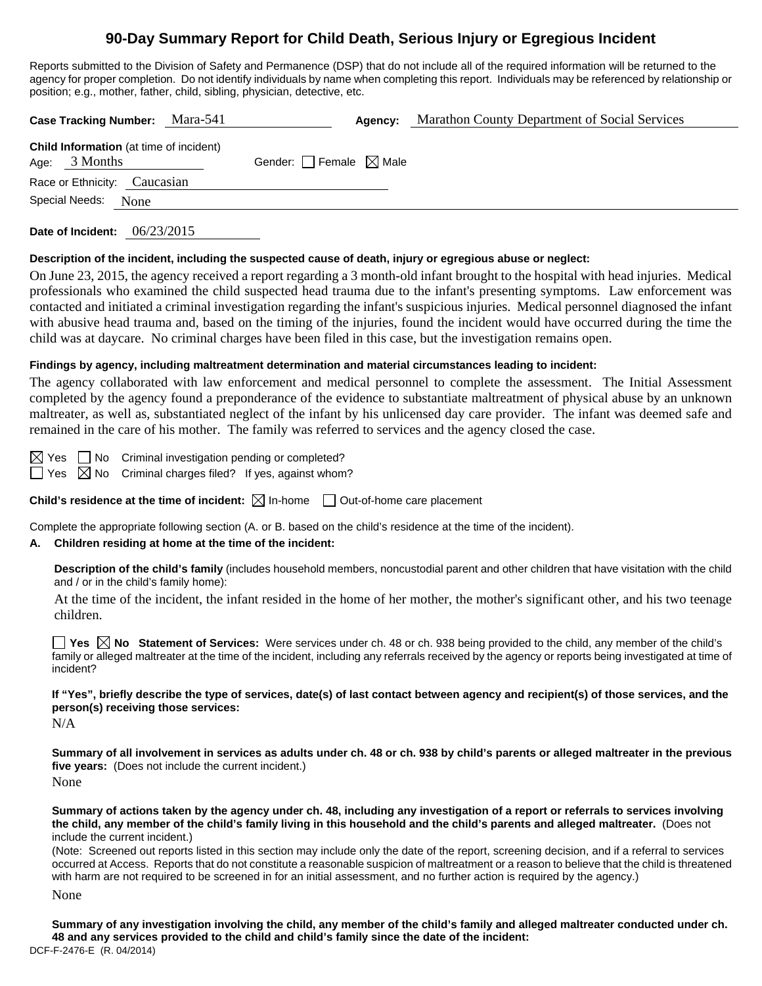# **90-Day Summary Report for Child Death, Serious Injury or Egregious Incident**

Reports submitted to the Division of Safety and Permanence (DSP) that do not include all of the required information will be returned to the agency for proper completion. Do not identify individuals by name when completing this report. Individuals may be referenced by relationship or position; e.g., mother, father, child, sibling, physician, detective, etc.

| Case Tracking Number: Mara-541                                    |                                 | Agency: | Marathon County Department of Social Services |
|-------------------------------------------------------------------|---------------------------------|---------|-----------------------------------------------|
| <b>Child Information</b> (at time of incident)<br>Age: $3$ Months | Gender: Female $\boxtimes$ Male |         |                                               |
| Race or Ethnicity: Caucasian                                      |                                 |         |                                               |
| Special Needs:<br>None                                            |                                 |         |                                               |
|                                                                   |                                 |         |                                               |

**Date of Incident:** 06/23/2015

#### **Description of the incident, including the suspected cause of death, injury or egregious abuse or neglect:**

On June 23, 2015, the agency received a report regarding a 3 month-old infant brought to the hospital with head injuries. Medical professionals who examined the child suspected head trauma due to the infant's presenting symptoms. Law enforcement was contacted and initiated a criminal investigation regarding the infant's suspicious injuries. Medical personnel diagnosed the infant with abusive head trauma and, based on the timing of the injuries, found the incident would have occurred during the time the child was at daycare. No criminal charges have been filed in this case, but the investigation remains open.

## **Findings by agency, including maltreatment determination and material circumstances leading to incident:**

The agency collaborated with law enforcement and medical personnel to complete the assessment. The Initial Assessment completed by the agency found a preponderance of the evidence to substantiate maltreatment of physical abuse by an unknown maltreater, as well as, substantiated neglect of the infant by his unlicensed day care provider. The infant was deemed safe and remained in the care of his mother. The family was referred to services and the agency closed the case.

 $\boxtimes$  Yes  $\Box$  No Criminal investigation pending or completed?

 $\Box$  Yes  $\boxtimes$  No Criminal charges filed? If yes, against whom?

**Child's residence at the time of incident:**  $\boxtimes$  In-home  $\Box$  Out-of-home care placement

Complete the appropriate following section (A. or B. based on the child's residence at the time of the incident).

## **A. Children residing at home at the time of the incident:**

**Description of the child's family** (includes household members, noncustodial parent and other children that have visitation with the child and / or in the child's family home):

 At the time of the incident, the infant resided in the home of her mother, the mother's significant other, and his two teenage children.

■ Yes **No** Statement of Services: Were services under ch. 48 or ch. 938 being provided to the child, any member of the child's family or alleged maltreater at the time of the incident, including any referrals received by the agency or reports being investigated at time of incident?

**If "Yes", briefly describe the type of services, date(s) of last contact between agency and recipient(s) of those services, and the person(s) receiving those services:** 

N/A

**Summary of all involvement in services as adults under ch. 48 or ch. 938 by child's parents or alleged maltreater in the previous five years:** (Does not include the current incident.) None

**Summary of actions taken by the agency under ch. 48, including any investigation of a report or referrals to services involving the child, any member of the child's family living in this household and the child's parents and alleged maltreater.** (Does not include the current incident.)

(Note: Screened out reports listed in this section may include only the date of the report, screening decision, and if a referral to services occurred at Access. Reports that do not constitute a reasonable suspicion of maltreatment or a reason to believe that the child is threatened with harm are not required to be screened in for an initial assessment, and no further action is required by the agency.)

None

DCF-F-2476-E (R. 04/2014) **Summary of any investigation involving the child, any member of the child's family and alleged maltreater conducted under ch. 48 and any services provided to the child and child's family since the date of the incident:**